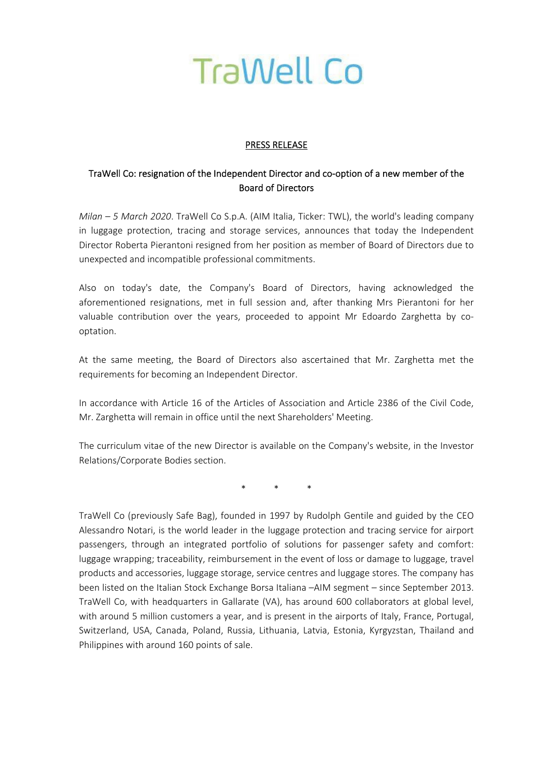

## PRESS RELEASE

## TraWell Co: resignation of the Independent Director and co‐option of a new member of the Board of Directors

*Milan – 5 March 2020*. TraWell Co S.p.A. (AIM Italia, Ticker: TWL), the world's leading company in luggage protection, tracing and storage services, announces that today the Independent Director Roberta Pierantoni resigned from her position as member of Board of Directors due to unexpected and incompatible professional commitments.

Also on today's date, the Company's Board of Directors, having acknowledged the aforementioned resignations, met in full session and, after thanking Mrs Pierantoni for her valuable contribution over the years, proceeded to appoint Mr Edoardo Zarghetta by cooptation.

At the same meeting, the Board of Directors also ascertained that Mr. Zarghetta met the requirements for becoming an Independent Director.

In accordance with Article 16 of the Articles of Association and Article 2386 of the Civil Code, Mr. Zarghetta will remain in office until the next Shareholders' Meeting.

The curriculum vitae of the new Director is available on the Company's website, in the Investor Relations/Corporate Bodies section.

\* \* \*

TraWell Co (previously Safe Bag), founded in 1997 by Rudolph Gentile and guided by the CEO Alessandro Notari, is the world leader in the luggage protection and tracing service for airport passengers, through an integrated portfolio of solutions for passenger safety and comfort: luggage wrapping; traceability, reimbursement in the event of loss or damage to luggage, travel products and accessories, luggage storage, service centres and luggage stores. The company has been listed on the Italian Stock Exchange Borsa Italiana –AIM segment – since September 2013. TraWell Co, with headquarters in Gallarate (VA), has around 600 collaborators at global level, with around 5 million customers a year, and is present in the airports of Italy, France, Portugal, Switzerland, USA, Canada, Poland, Russia, Lithuania, Latvia, Estonia, Kyrgyzstan, Thailand and Philippines with around 160 points of sale.